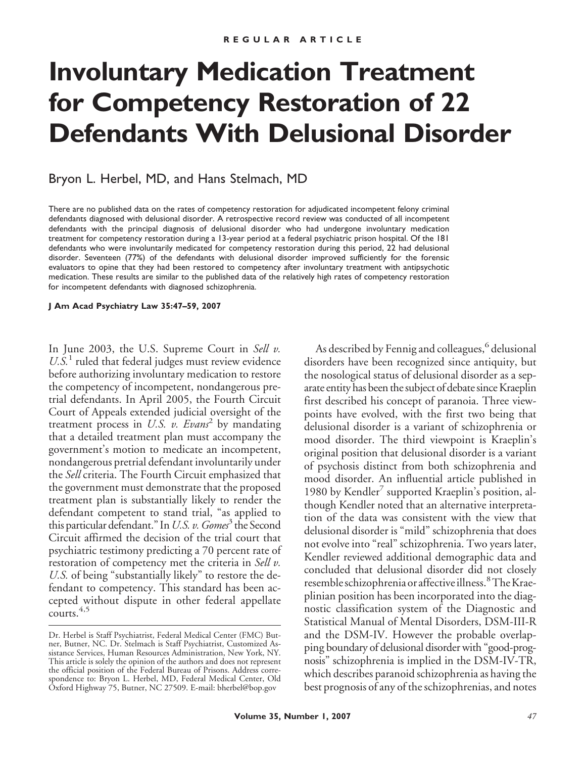# **Involuntary Medication Treatment for Competency Restoration of 22 Defendants With Delusional Disorder**

## Bryon L. Herbel, MD, and Hans Stelmach, MD

There are no published data on the rates of competency restoration for adjudicated incompetent felony criminal defendants diagnosed with delusional disorder. A retrospective record review was conducted of all incompetent defendants with the principal diagnosis of delusional disorder who had undergone involuntary medication treatment for competency restoration during a 13-year period at a federal psychiatric prison hospital. Of the 181 defendants who were involuntarily medicated for competency restoration during this period, 22 had delusional disorder. Seventeen (77%) of the defendants with delusional disorder improved sufficiently for the forensic evaluators to opine that they had been restored to competency after involuntary treatment with antipsychotic medication. These results are similar to the published data of the relatively high rates of competency restoration for incompetent defendants with diagnosed schizophrenia.

**J Am Acad Psychiatry Law 35:47–59, 2007**

In June 2003, the U.S. Supreme Court in *Sell v.* U.S.<sup>1</sup> ruled that federal judges must review evidence before authorizing involuntary medication to restore the competency of incompetent, nondangerous pretrial defendants. In April 2005, the Fourth Circuit Court of Appeals extended judicial oversight of the treatment process in *U.S. v. Evans*<sup>2</sup> by mandating that a detailed treatment plan must accompany the government's motion to medicate an incompetent, nondangerous pretrial defendant involuntarily under the *Sell* criteria. The Fourth Circuit emphasized that the government must demonstrate that the proposed treatment plan is substantially likely to render the defendant competent to stand trial, "as applied to this particular defendant." In*U.S. v. Gomes*<sup>3</sup> the Second Circuit affirmed the decision of the trial court that psychiatric testimony predicting a 70 percent rate of restoration of competency met the criteria in *Sell v. U.S.* of being "substantially likely" to restore the defendant to competency. This standard has been accepted without dispute in other federal appellate courts.<sup>4,5</sup>

As described by Fennig and colleagues,  $6$  delusional disorders have been recognized since antiquity, but the nosological status of delusional disorder as a separate entity has been the subject of debate since Kraeplin first described his concept of paranoia. Three viewpoints have evolved, with the first two being that delusional disorder is a variant of schizophrenia or mood disorder. The third viewpoint is Kraeplin's original position that delusional disorder is a variant of psychosis distinct from both schizophrenia and mood disorder. An influential article published in 1980 by Kendler<sup>7</sup> supported Kraeplin's position, although Kendler noted that an alternative interpretation of the data was consistent with the view that delusional disorder is "mild" schizophrenia that does not evolve into "real" schizophrenia. Two years later, Kendler reviewed additional demographic data and concluded that delusional disorder did not closely resemble schizophrenia or affective illness.<sup>8</sup> The Kraeplinian position has been incorporated into the diagnostic classification system of the Diagnostic and Statistical Manual of Mental Disorders, DSM-III-R and the DSM-IV. However the probable overlapping boundary of delusional disorder with "good-prognosis" schizophrenia is implied in the DSM-IV-TR, which describes paranoid schizophrenia as having the best prognosis of any of the schizophrenias, and notes

Dr. Herbel is Staff Psychiatrist, Federal Medical Center (FMC) Butner, Butner, NC. Dr. Stelmach is Staff Psychiatrist, Customized Assistance Services, Human Resources Administration, New York, NY. This article is solely the opinion of the authors and does not represent the official position of the Federal Bureau of Prisons. Address correspondence to: Bryon L. Herbel, MD, Federal Medical Center, Old Oxford Highway 75, Butner, NC 27509. E-mail: bherbel@bop.gov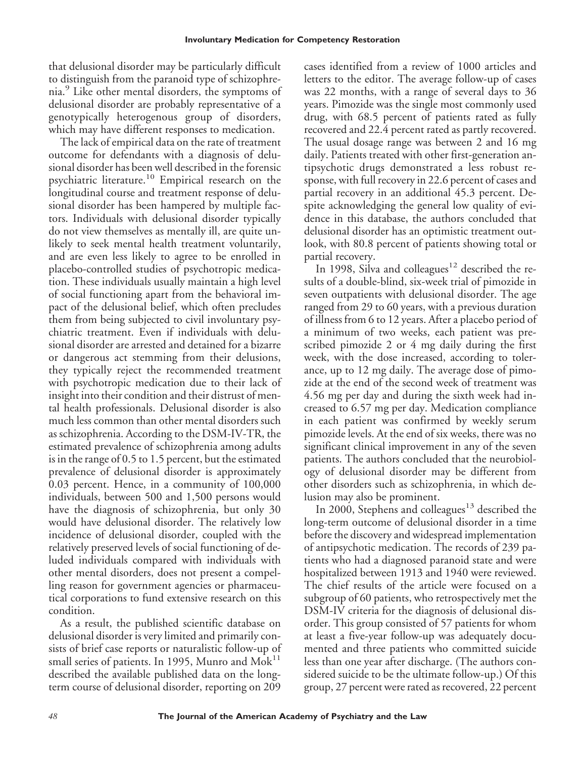that delusional disorder may be particularly difficult to distinguish from the paranoid type of schizophrenia.<sup>9</sup> Like other mental disorders, the symptoms of delusional disorder are probably representative of a genotypically heterogenous group of disorders, which may have different responses to medication.

The lack of empirical data on the rate of treatment outcome for defendants with a diagnosis of delusional disorder has been well described in the forensic psychiatric literature.<sup>10</sup> Empirical research on the longitudinal course and treatment response of delusional disorder has been hampered by multiple factors. Individuals with delusional disorder typically do not view themselves as mentally ill, are quite unlikely to seek mental health treatment voluntarily, and are even less likely to agree to be enrolled in placebo-controlled studies of psychotropic medication. These individuals usually maintain a high level of social functioning apart from the behavioral impact of the delusional belief, which often precludes them from being subjected to civil involuntary psychiatric treatment. Even if individuals with delusional disorder are arrested and detained for a bizarre or dangerous act stemming from their delusions, they typically reject the recommended treatment with psychotropic medication due to their lack of insight into their condition and their distrust of mental health professionals. Delusional disorder is also much less common than other mental disorders such as schizophrenia. According to the DSM-IV-TR, the estimated prevalence of schizophrenia among adults is in the range of 0.5 to 1.5 percent, but the estimated prevalence of delusional disorder is approximately 0.03 percent. Hence, in a community of 100,000 individuals, between 500 and 1,500 persons would have the diagnosis of schizophrenia, but only 30 would have delusional disorder. The relatively low incidence of delusional disorder, coupled with the relatively preserved levels of social functioning of deluded individuals compared with individuals with other mental disorders, does not present a compelling reason for government agencies or pharmaceutical corporations to fund extensive research on this condition.

As a result, the published scientific database on delusional disorder is very limited and primarily consists of brief case reports or naturalistic follow-up of small series of patients. In 1995, Munro and  $Mok<sup>11</sup>$ described the available published data on the longterm course of delusional disorder, reporting on 209 cases identified from a review of 1000 articles and letters to the editor. The average follow-up of cases was 22 months, with a range of several days to 36 years. Pimozide was the single most commonly used drug, with 68.5 percent of patients rated as fully recovered and 22.4 percent rated as partly recovered. The usual dosage range was between 2 and 16 mg daily. Patients treated with other first-generation antipsychotic drugs demonstrated a less robust response, with full recovery in 22.6 percent of cases and partial recovery in an additional 45.3 percent. Despite acknowledging the general low quality of evidence in this database, the authors concluded that delusional disorder has an optimistic treatment outlook, with 80.8 percent of patients showing total or partial recovery.

In 1998, Silva and colleagues<sup>12</sup> described the results of a double-blind, six-week trial of pimozide in seven outpatients with delusional disorder. The age ranged from 29 to 60 years, with a previous duration of illness from 6 to 12 years. After a placebo period of a minimum of two weeks, each patient was prescribed pimozide 2 or 4 mg daily during the first week, with the dose increased, according to tolerance, up to 12 mg daily. The average dose of pimozide at the end of the second week of treatment was 4.56 mg per day and during the sixth week had increased to 6.57 mg per day. Medication compliance in each patient was confirmed by weekly serum pimozide levels. At the end of six weeks, there was no significant clinical improvement in any of the seven patients. The authors concluded that the neurobiology of delusional disorder may be different from other disorders such as schizophrenia, in which delusion may also be prominent.

In 2000, Stephens and colleagues<sup>13</sup> described the long-term outcome of delusional disorder in a time before the discovery and widespread implementation of antipsychotic medication. The records of 239 patients who had a diagnosed paranoid state and were hospitalized between 1913 and 1940 were reviewed. The chief results of the article were focused on a subgroup of 60 patients, who retrospectively met the DSM-IV criteria for the diagnosis of delusional disorder. This group consisted of 57 patients for whom at least a five-year follow-up was adequately documented and three patients who committed suicide less than one year after discharge. (The authors considered suicide to be the ultimate follow-up.) Of this group, 27 percent were rated as recovered, 22 percent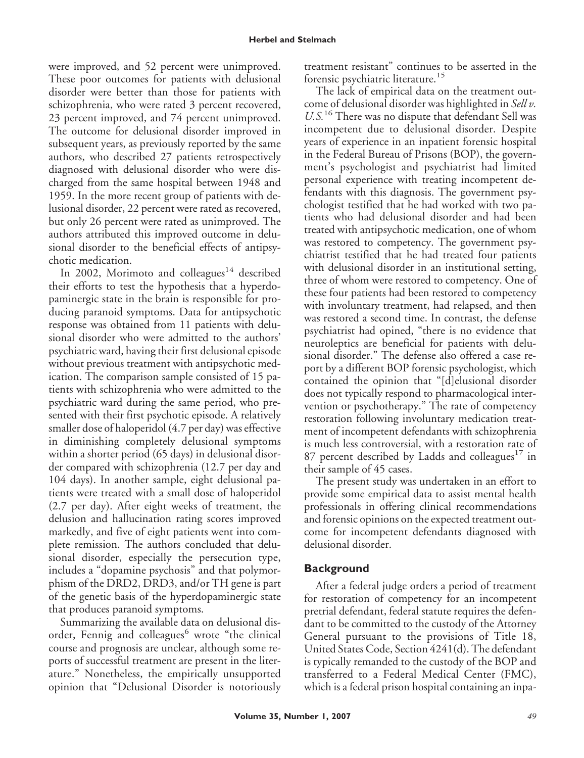were improved, and 52 percent were unimproved. These poor outcomes for patients with delusional disorder were better than those for patients with schizophrenia, who were rated 3 percent recovered, 23 percent improved, and 74 percent unimproved. The outcome for delusional disorder improved in subsequent years, as previously reported by the same authors, who described 27 patients retrospectively diagnosed with delusional disorder who were discharged from the same hospital between 1948 and 1959. In the more recent group of patients with delusional disorder, 22 percent were rated as recovered, but only 26 percent were rated as unimproved. The authors attributed this improved outcome in delusional disorder to the beneficial effects of antipsychotic medication.

In 2002, Morimoto and colleagues<sup>14</sup> described their efforts to test the hypothesis that a hyperdopaminergic state in the brain is responsible for producing paranoid symptoms. Data for antipsychotic response was obtained from 11 patients with delusional disorder who were admitted to the authors' psychiatric ward, having their first delusional episode without previous treatment with antipsychotic medication. The comparison sample consisted of 15 patients with schizophrenia who were admitted to the psychiatric ward during the same period, who presented with their first psychotic episode. A relatively smaller dose of haloperidol (4.7 per day) was effective in diminishing completely delusional symptoms within a shorter period (65 days) in delusional disorder compared with schizophrenia (12.7 per day and 104 days). In another sample, eight delusional patients were treated with a small dose of haloperidol (2.7 per day). After eight weeks of treatment, the delusion and hallucination rating scores improved markedly, and five of eight patients went into complete remission. The authors concluded that delusional disorder, especially the persecution type, includes a "dopamine psychosis" and that polymorphism of the DRD2, DRD3, and/or TH gene is part of the genetic basis of the hyperdopaminergic state that produces paranoid symptoms.

Summarizing the available data on delusional disorder, Fennig and colleagues<sup>6</sup> wrote "the clinical course and prognosis are unclear, although some reports of successful treatment are present in the literature." Nonetheless, the empirically unsupported opinion that "Delusional Disorder is notoriously treatment resistant" continues to be asserted in the forensic psychiatric literature.<sup>15</sup>

The lack of empirical data on the treatment outcome of delusional disorder was highlighted in *Sell v. U.S.*<sup>16</sup> There was no dispute that defendant Sell was incompetent due to delusional disorder. Despite years of experience in an inpatient forensic hospital in the Federal Bureau of Prisons (BOP), the government's psychologist and psychiatrist had limited personal experience with treating incompetent defendants with this diagnosis. The government psychologist testified that he had worked with two patients who had delusional disorder and had been treated with antipsychotic medication, one of whom was restored to competency. The government psychiatrist testified that he had treated four patients with delusional disorder in an institutional setting, three of whom were restored to competency. One of these four patients had been restored to competency with involuntary treatment, had relapsed, and then was restored a second time. In contrast, the defense psychiatrist had opined, "there is no evidence that neuroleptics are beneficial for patients with delusional disorder." The defense also offered a case report by a different BOP forensic psychologist, which contained the opinion that "[d]elusional disorder does not typically respond to pharmacological intervention or psychotherapy." The rate of competency restoration following involuntary medication treatment of incompetent defendants with schizophrenia is much less controversial, with a restoration rate of 87 percent described by Ladds and colleagues<sup>17</sup> in their sample of 45 cases.

The present study was undertaken in an effort to provide some empirical data to assist mental health professionals in offering clinical recommendations and forensic opinions on the expected treatment outcome for incompetent defendants diagnosed with delusional disorder.

# **Background**

After a federal judge orders a period of treatment for restoration of competency for an incompetent pretrial defendant, federal statute requires the defendant to be committed to the custody of the Attorney General pursuant to the provisions of Title 18, United States Code, Section 4241(d). The defendant is typically remanded to the custody of the BOP and transferred to a Federal Medical Center (FMC), which is a federal prison hospital containing an inpa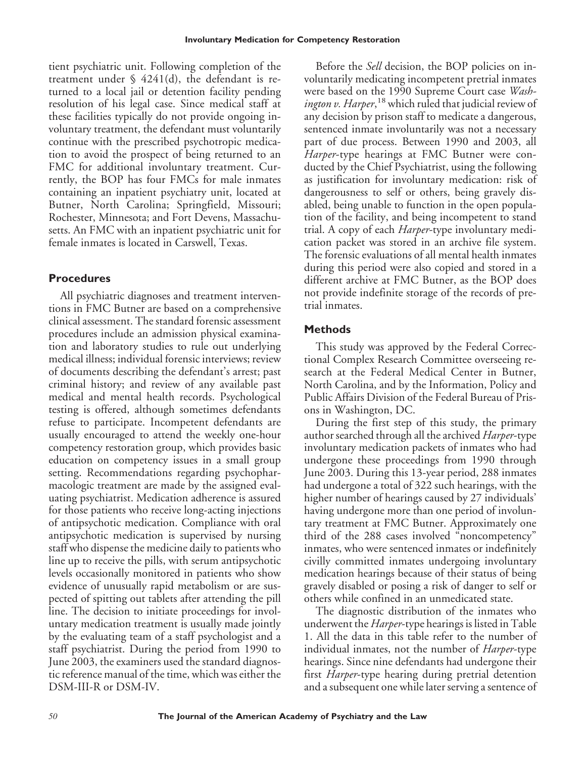tient psychiatric unit. Following completion of the treatment under  $\S$  4241(d), the defendant is returned to a local jail or detention facility pending resolution of his legal case. Since medical staff at these facilities typically do not provide ongoing involuntary treatment, the defendant must voluntarily continue with the prescribed psychotropic medication to avoid the prospect of being returned to an FMC for additional involuntary treatment. Currently, the BOP has four FMCs for male inmates containing an inpatient psychiatry unit, located at Butner, North Carolina; Springfield, Missouri; Rochester, Minnesota; and Fort Devens, Massachusetts. An FMC with an inpatient psychiatric unit for female inmates is located in Carswell, Texas.

# **Procedures**

All psychiatric diagnoses and treatment interventions in FMC Butner are based on a comprehensive clinical assessment. The standard forensic assessment procedures include an admission physical examination and laboratory studies to rule out underlying medical illness; individual forensic interviews; review of documents describing the defendant's arrest; past criminal history; and review of any available past medical and mental health records. Psychological testing is offered, although sometimes defendants refuse to participate. Incompetent defendants are usually encouraged to attend the weekly one-hour competency restoration group, which provides basic education on competency issues in a small group setting. Recommendations regarding psychopharmacologic treatment are made by the assigned evaluating psychiatrist. Medication adherence is assured for those patients who receive long-acting injections of antipsychotic medication. Compliance with oral antipsychotic medication is supervised by nursing staff who dispense the medicine daily to patients who line up to receive the pills, with serum antipsychotic levels occasionally monitored in patients who show evidence of unusually rapid metabolism or are suspected of spitting out tablets after attending the pill line. The decision to initiate proceedings for involuntary medication treatment is usually made jointly by the evaluating team of a staff psychologist and a staff psychiatrist. During the period from 1990 to June 2003, the examiners used the standard diagnostic reference manual of the time, which was either the DSM-III-R or DSM-IV.

Before the *Sell* decision, the BOP policies on involuntarily medicating incompetent pretrial inmates were based on the 1990 Supreme Court case *Washington v. Harper*,<sup>18</sup> which ruled that judicial review of any decision by prison staff to medicate a dangerous, sentenced inmate involuntarily was not a necessary part of due process. Between 1990 and 2003, all *Harper*-type hearings at FMC Butner were conducted by the Chief Psychiatrist, using the following as justification for involuntary medication: risk of dangerousness to self or others, being gravely disabled, being unable to function in the open population of the facility, and being incompetent to stand trial. A copy of each *Harper*-type involuntary medication packet was stored in an archive file system. The forensic evaluations of all mental health inmates during this period were also copied and stored in a different archive at FMC Butner, as the BOP does not provide indefinite storage of the records of pretrial inmates.

# **Methods**

This study was approved by the Federal Correctional Complex Research Committee overseeing research at the Federal Medical Center in Butner, North Carolina, and by the Information, Policy and Public Affairs Division of the Federal Bureau of Prisons in Washington, DC.

During the first step of this study, the primary author searched through all the archived *Harper*-type involuntary medication packets of inmates who had undergone these proceedings from 1990 through June 2003. During this 13-year period, 288 inmates had undergone a total of 322 such hearings, with the higher number of hearings caused by 27 individuals' having undergone more than one period of involuntary treatment at FMC Butner. Approximately one third of the 288 cases involved "noncompetency" inmates, who were sentenced inmates or indefinitely civilly committed inmates undergoing involuntary medication hearings because of their status of being gravely disabled or posing a risk of danger to self or others while confined in an unmedicated state.

The diagnostic distribution of the inmates who underwent the *Harper*-type hearings is listed in Table 1. All the data in this table refer to the number of individual inmates, not the number of *Harper*-type hearings. Since nine defendants had undergone their first *Harper*-type hearing during pretrial detention and a subsequent one while later serving a sentence of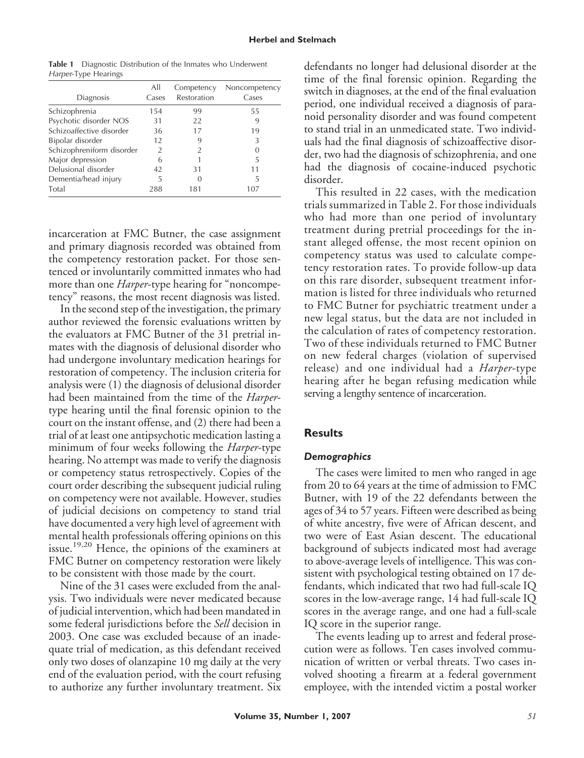| <b>Table 1</b> Diagnostic Distribution of the Inmates who Underwent |
|---------------------------------------------------------------------|
| Harper-Type Hearings                                                |

| Diagnosis                 | All<br>Cases   | Competency<br>Restoration | Noncompetency<br>Cases |
|---------------------------|----------------|---------------------------|------------------------|
| Schizophrenia             | 154            | 99                        | 55                     |
| Psychotic disorder NOS    | 31             | 22                        |                        |
| Schizoaffective disorder  | 36             | 17                        | 19                     |
| Bipolar disorder          | 12             | 9                         | 3                      |
| Schizophreniform disorder | $\mathfrak{D}$ | $\mathfrak{D}$            |                        |
| Major depression          | 6              |                           | 5                      |
| Delusional disorder       | 42             | 31                        | 11                     |
| Dementia/head injury      | 5              | U                         | 5                      |
| Total                     | 288            | 181                       | 107                    |

incarceration at FMC Butner, the case assignment and primary diagnosis recorded was obtained from the competency restoration packet. For those sentenced or involuntarily committed inmates who had more than one *Harper*-type hearing for "noncompetency" reasons, the most recent diagnosis was listed.

In the second step of the investigation, the primary author reviewed the forensic evaluations written by the evaluators at FMC Butner of the 31 pretrial inmates with the diagnosis of delusional disorder who had undergone involuntary medication hearings for restoration of competency. The inclusion criteria for analysis were (1) the diagnosis of delusional disorder had been maintained from the time of the *Harper*type hearing until the final forensic opinion to the court on the instant offense, and (2) there had been a trial of at least one antipsychotic medication lasting a minimum of four weeks following the *Harper*-type hearing. No attempt was made to verify the diagnosis or competency status retrospectively. Copies of the court order describing the subsequent judicial ruling on competency were not available. However, studies of judicial decisions on competency to stand trial have documented a very high level of agreement with mental health professionals offering opinions on this issue.19,20 Hence, the opinions of the examiners at FMC Butner on competency restoration were likely to be consistent with those made by the court.

Nine of the 31 cases were excluded from the analysis. Two individuals were never medicated because of judicial intervention, which had been mandated in some federal jurisdictions before the *Sell* decision in 2003. One case was excluded because of an inadequate trial of medication, as this defendant received only two doses of olanzapine 10 mg daily at the very end of the evaluation period, with the court refusing to authorize any further involuntary treatment. Six defendants no longer had delusional disorder at the time of the final forensic opinion. Regarding the switch in diagnoses, at the end of the final evaluation period, one individual received a diagnosis of paranoid personality disorder and was found competent to stand trial in an unmedicated state. Two individuals had the final diagnosis of schizoaffective disorder, two had the diagnosis of schizophrenia, and one had the diagnosis of cocaine-induced psychotic disorder.

This resulted in 22 cases, with the medication trials summarized in Table 2. For those individuals who had more than one period of involuntary treatment during pretrial proceedings for the instant alleged offense, the most recent opinion on competency status was used to calculate competency restoration rates. To provide follow-up data on this rare disorder, subsequent treatment information is listed for three individuals who returned to FMC Butner for psychiatric treatment under a new legal status, but the data are not included in the calculation of rates of competency restoration. Two of these individuals returned to FMC Butner on new federal charges (violation of supervised release) and one individual had a *Harper*-type hearing after he began refusing medication while serving a lengthy sentence of incarceration.

### **Results**

#### *Demographics*

The cases were limited to men who ranged in age from 20 to 64 years at the time of admission to FMC Butner, with 19 of the 22 defendants between the ages of 34 to 57 years. Fifteen were described as being of white ancestry, five were of African descent, and two were of East Asian descent. The educational background of subjects indicated most had average to above-average levels of intelligence. This was consistent with psychological testing obtained on 17 defendants, which indicated that two had full-scale IQ scores in the low-average range, 14 had full-scale IQ scores in the average range, and one had a full-scale IQ score in the superior range.

The events leading up to arrest and federal prosecution were as follows. Ten cases involved communication of written or verbal threats. Two cases involved shooting a firearm at a federal government employee, with the intended victim a postal worker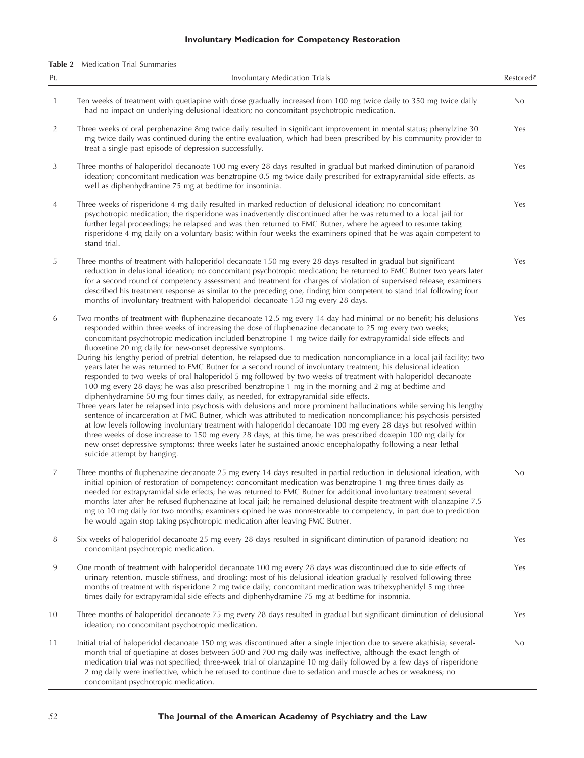#### **Involuntary Medication for Competency Restoration**

**Table 2** Medication Trial Summaries

| Pt. | Involuntary Medication Trials                                                                                                                                                                                                                                                                                                                                                                                                                                                                                                                                                                                                                                                                                                                                                                                                                                                                                                                                                                                                                                                                                                                                                                                                                                                                                                                                                                                                                                                                                                                                                                                    | Restored? |
|-----|------------------------------------------------------------------------------------------------------------------------------------------------------------------------------------------------------------------------------------------------------------------------------------------------------------------------------------------------------------------------------------------------------------------------------------------------------------------------------------------------------------------------------------------------------------------------------------------------------------------------------------------------------------------------------------------------------------------------------------------------------------------------------------------------------------------------------------------------------------------------------------------------------------------------------------------------------------------------------------------------------------------------------------------------------------------------------------------------------------------------------------------------------------------------------------------------------------------------------------------------------------------------------------------------------------------------------------------------------------------------------------------------------------------------------------------------------------------------------------------------------------------------------------------------------------------------------------------------------------------|-----------|
| 1   | Ten weeks of treatment with quetiapine with dose gradually increased from 100 mg twice daily to 350 mg twice daily<br>had no impact on underlying delusional ideation; no concomitant psychotropic medication.                                                                                                                                                                                                                                                                                                                                                                                                                                                                                                                                                                                                                                                                                                                                                                                                                                                                                                                                                                                                                                                                                                                                                                                                                                                                                                                                                                                                   | No        |
| 2   | Three weeks of oral perphenazine 8mg twice daily resulted in significant improvement in mental status; phenylzine 30<br>mg twice daily was continued during the entire evaluation, which had been prescribed by his community provider to<br>treat a single past episode of depression successfully.                                                                                                                                                                                                                                                                                                                                                                                                                                                                                                                                                                                                                                                                                                                                                                                                                                                                                                                                                                                                                                                                                                                                                                                                                                                                                                             | Yes       |
| 3   | Three months of haloperidol decanoate 100 mg every 28 days resulted in gradual but marked diminution of paranoid<br>ideation; concomitant medication was benztropine 0.5 mg twice daily prescribed for extrapyramidal side effects, as<br>well as diphenhydramine 75 mg at bedtime for insominia.                                                                                                                                                                                                                                                                                                                                                                                                                                                                                                                                                                                                                                                                                                                                                                                                                                                                                                                                                                                                                                                                                                                                                                                                                                                                                                                | Yes       |
| 4   | Three weeks of risperidone 4 mg daily resulted in marked reduction of delusional ideation; no concomitant<br>psychotropic medication; the risperidone was inadvertently discontinued after he was returned to a local jail for<br>further legal proceedings; he relapsed and was then returned to FMC Butner, where he agreed to resume taking<br>risperidone 4 mg daily on a voluntary basis; within four weeks the examiners opined that he was again competent to<br>stand trial.                                                                                                                                                                                                                                                                                                                                                                                                                                                                                                                                                                                                                                                                                                                                                                                                                                                                                                                                                                                                                                                                                                                             | Yes       |
| 5   | Three months of treatment with haloperidol decanoate 150 mg every 28 days resulted in gradual but significant<br>reduction in delusional ideation; no concomitant psychotropic medication; he returned to FMC Butner two years later<br>for a second round of competency assessment and treatment for charges of violation of supervised release; examiners<br>described his treatment response as similar to the preceding one, finding him competent to stand trial following four<br>months of involuntary treatment with haloperidol decanoate 150 mg every 28 days.                                                                                                                                                                                                                                                                                                                                                                                                                                                                                                                                                                                                                                                                                                                                                                                                                                                                                                                                                                                                                                         | Yes       |
| 6   | Two months of treatment with fluphenazine decanoate 12.5 mg every 14 day had minimal or no benefit; his delusions<br>responded within three weeks of increasing the dose of fluphenazine decanoate to 25 mg every two weeks;<br>concomitant psychotropic medication included benztropine 1 mg twice daily for extrapyramidal side effects and<br>fluoxetine 20 mg daily for new-onset depressive symptoms.<br>During his lengthy period of pretrial detention, he relapsed due to medication noncompliance in a local jail facility; two<br>years later he was returned to FMC Butner for a second round of involuntary treatment; his delusional ideation<br>responded to two weeks of oral haloperidol 5 mg followed by two weeks of treatment with haloperidol decanoate<br>100 mg every 28 days; he was also prescribed benztropine 1 mg in the morning and 2 mg at bedtime and<br>diphenhydramine 50 mg four times daily, as needed, for extrapyramidal side effects.<br>Three years later he relapsed into psychosis with delusions and more prominent hallucinations while serving his lengthy<br>sentence of incarceration at FMC Butner, which was attributed to medication noncompliance; his psychosis persisted<br>at low levels following involuntary treatment with haloperidol decanoate 100 mg every 28 days but resolved within<br>three weeks of dose increase to 150 mg every 28 days; at this time, he was prescribed doxepin 100 mg daily for<br>new-onset depressive symptoms; three weeks later he sustained anoxic encephalopathy following a near-lethal<br>suicide attempt by hanging. | Yes       |
| 7   | Three months of fluphenazine decanoate 25 mg every 14 days resulted in partial reduction in delusional ideation, with<br>initial opinion of restoration of competency; concomitant medication was benztropine 1 mg three times daily as<br>needed for extrapyramidal side effects; he was returned to FMC Butner for additional involuntary treatment several<br>months later after he refused fluphenazine at local jail; he remained delusional despite treatment with olanzapine 7.5<br>mg to 10 mg daily for two months; examiners opined he was nonrestorable to competency, in part due to prediction<br>he would again stop taking psychotropic medication after leaving FMC Butner.                                                                                                                                                                                                                                                                                                                                                                                                                                                                                                                                                                                                                                                                                                                                                                                                                                                                                                                      | No        |
| 8   | Six weeks of haloperidol decanoate 25 mg every 28 days resulted in significant diminution of paranoid ideation; no<br>concomitant psychotropic medication.                                                                                                                                                                                                                                                                                                                                                                                                                                                                                                                                                                                                                                                                                                                                                                                                                                                                                                                                                                                                                                                                                                                                                                                                                                                                                                                                                                                                                                                       | Yes       |
| 9   | One month of treatment with haloperidol decanoate 100 mg every 28 days was discontinued due to side effects of<br>urinary retention, muscle stiffness, and drooling; most of his delusional ideation gradually resolved following three<br>months of treatment with risperidone 2 mg twice daily; concomitant medication was trihexyphenidyl 5 mg three<br>times daily for extrapyramidal side effects and diphenhydramine 75 mg at bedtime for insomnia.                                                                                                                                                                                                                                                                                                                                                                                                                                                                                                                                                                                                                                                                                                                                                                                                                                                                                                                                                                                                                                                                                                                                                        | Yes       |
| 10  | Three months of haloperidol decanoate 75 mg every 28 days resulted in gradual but significant diminution of delusional<br>ideation; no concomitant psychotropic medication.                                                                                                                                                                                                                                                                                                                                                                                                                                                                                                                                                                                                                                                                                                                                                                                                                                                                                                                                                                                                                                                                                                                                                                                                                                                                                                                                                                                                                                      | Yes       |
| 11  | Initial trial of haloperidol decanoate 150 mg was discontinued after a single injection due to severe akathisia; several-<br>month trial of quetiapine at doses between 500 and 700 mg daily was ineffective, although the exact length of<br>medication trial was not specified; three-week trial of olanzapine 10 mg daily followed by a few days of risperidone<br>2 mg daily were ineffective, which he refused to continue due to sedation and muscle aches or weakness; no<br>concomitant psychotropic medication.                                                                                                                                                                                                                                                                                                                                                                                                                                                                                                                                                                                                                                                                                                                                                                                                                                                                                                                                                                                                                                                                                         | No        |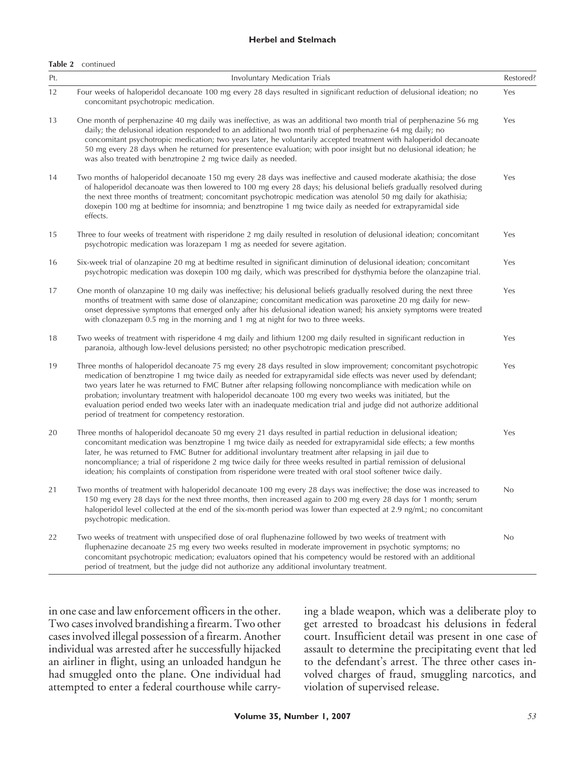#### **Herbel and Stelmach**

#### **Table 2** continued

| Pt. | Involuntary Medication Trials                                                                                                                                                                                                                                                                                                                                                                                                                                                                                                                                                                                                                 | Restored? |
|-----|-----------------------------------------------------------------------------------------------------------------------------------------------------------------------------------------------------------------------------------------------------------------------------------------------------------------------------------------------------------------------------------------------------------------------------------------------------------------------------------------------------------------------------------------------------------------------------------------------------------------------------------------------|-----------|
| 12  | Four weeks of haloperidol decanoate 100 mg every 28 days resulted in significant reduction of delusional ideation; no<br>concomitant psychotropic medication.                                                                                                                                                                                                                                                                                                                                                                                                                                                                                 | Yes       |
| 13  | One month of perphenazine 40 mg daily was ineffective, as was an additional two month trial of perphenazine 56 mg<br>daily; the delusional ideation responded to an additional two month trial of perphenazine 64 mg daily; no<br>concomitant psychotropic medication; two years later, he voluntarily accepted treatment with haloperidol decanoate<br>50 mg every 28 days when he returned for presentence evaluation; with poor insight but no delusional ideation; he<br>was also treated with benztropine 2 mg twice daily as needed.                                                                                                    | Yes       |
| 14  | Two months of haloperidol decanoate 150 mg every 28 days was ineffective and caused moderate akathisia; the dose<br>of haloperidol decanoate was then lowered to 100 mg every 28 days; his delusional beliefs gradually resolved during<br>the next three months of treatment; concomitant psychotropic medication was atenolol 50 mg daily for akathisia;<br>doxepin 100 mg at bedtime for insomnia; and benztropine 1 mg twice daily as needed for extrapyramidal side<br>effects.                                                                                                                                                          | Yes       |
| 15  | Three to four weeks of treatment with risperidone 2 mg daily resulted in resolution of delusional ideation; concomitant<br>psychotropic medication was lorazepam 1 mg as needed for severe agitation.                                                                                                                                                                                                                                                                                                                                                                                                                                         | Yes       |
| 16  | Six-week trial of olanzapine 20 mg at bedtime resulted in significant diminution of delusional ideation; concomitant<br>psychotropic medication was doxepin 100 mg daily, which was prescribed for dysthymia before the olanzapine trial.                                                                                                                                                                                                                                                                                                                                                                                                     | Yes       |
| 17  | One month of olanzapine 10 mg daily was ineffective; his delusional beliefs gradually resolved during the next three<br>months of treatment with same dose of olanzapine; concomitant medication was paroxetine 20 mg daily for new-<br>onset depressive symptoms that emerged only after his delusional ideation waned; his anxiety symptoms were treated<br>with clonazepam 0.5 mg in the morning and 1 mg at night for two to three weeks.                                                                                                                                                                                                 | Yes       |
| 18  | Two weeks of treatment with risperidone 4 mg daily and lithium 1200 mg daily resulted in significant reduction in<br>paranoia, although low-level delusions persisted; no other psychotropic medication prescribed.                                                                                                                                                                                                                                                                                                                                                                                                                           | Yes       |
| 19  | Three months of haloperidol decanoate 75 mg every 28 days resulted in slow improvement; concomitant psychotropic<br>medication of benztropine 1 mg twice daily as needed for extrapyramidal side effects was never used by defendant;<br>two years later he was returned to FMC Butner after relapsing following noncompliance with medication while on<br>probation; involuntary treatment with haloperidol decanoate 100 mg every two weeks was initiated, but the<br>evaluation period ended two weeks later with an inadequate medication trial and judge did not authorize additional<br>period of treatment for competency restoration. | Yes       |
| 20  | Three months of haloperidol decanoate 50 mg every 21 days resulted in partial reduction in delusional ideation;<br>concomitant medication was benztropine 1 mg twice daily as needed for extrapyramidal side effects; a few months<br>later, he was returned to FMC Butner for additional involuntary treatment after relapsing in jail due to<br>noncompliance; a trial of risperidone 2 mg twice daily for three weeks resulted in partial remission of delusional<br>ideation; his complaints of constipation from risperidone were treated with oral stool softener twice daily.                                                          | Yes       |
| 21  | Two months of treatment with haloperidol decanoate 100 mg every 28 days was ineffective; the dose was increased to<br>150 mg every 28 days for the next three months, then increased again to 200 mg every 28 days for 1 month; serum<br>haloperidol level collected at the end of the six-month period was lower than expected at 2.9 ng/mL; no concomitant<br>psychotropic medication.                                                                                                                                                                                                                                                      | No        |
| 22  | Two weeks of treatment with unspecified dose of oral fluphenazine followed by two weeks of treatment with<br>fluphenazine decanoate 25 mg every two weeks resulted in moderate improvement in psychotic symptoms; no<br>concomitant psychotropic medication; evaluators opined that his competency would be restored with an additional<br>period of treatment, but the judge did not authorize any additional involuntary treatment.                                                                                                                                                                                                         | No.       |

in one case and law enforcement officers in the other. Two cases involved brandishing a firearm. Two other cases involved illegal possession of a firearm. Another individual was arrested after he successfully hijacked an airliner in flight, using an unloaded handgun he had smuggled onto the plane. One individual had attempted to enter a federal courthouse while carry-

ing a blade weapon, which was a deliberate ploy to get arrested to broadcast his delusions in federal court. Insufficient detail was present in one case of assault to determine the precipitating event that led to the defendant's arrest. The three other cases involved charges of fraud, smuggling narcotics, and violation of supervised release.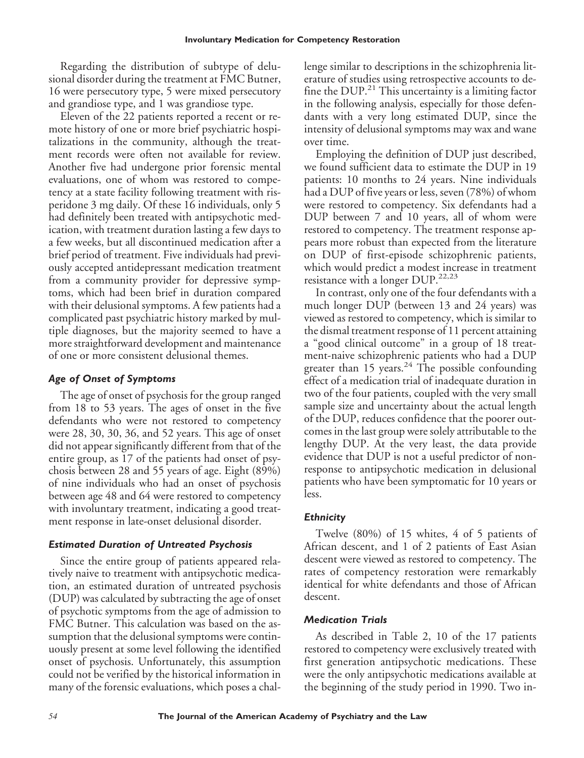Regarding the distribution of subtype of delusional disorder during the treatment at FMC Butner, 16 were persecutory type, 5 were mixed persecutory and grandiose type, and 1 was grandiose type.

Eleven of the 22 patients reported a recent or remote history of one or more brief psychiatric hospitalizations in the community, although the treatment records were often not available for review. Another five had undergone prior forensic mental evaluations, one of whom was restored to competency at a state facility following treatment with risperidone 3 mg daily. Of these 16 individuals, only 5 had definitely been treated with antipsychotic medication, with treatment duration lasting a few days to a few weeks, but all discontinued medication after a brief period of treatment. Five individuals had previously accepted antidepressant medication treatment from a community provider for depressive symptoms, which had been brief in duration compared with their delusional symptoms. A few patients had a complicated past psychiatric history marked by multiple diagnoses, but the majority seemed to have a more straightforward development and maintenance of one or more consistent delusional themes.

### *Age of Onset of Symptoms*

The age of onset of psychosis for the group ranged from 18 to 53 years. The ages of onset in the five defendants who were not restored to competency were 28, 30, 30, 36, and 52 years. This age of onset did not appear significantly different from that of the entire group, as 17 of the patients had onset of psychosis between 28 and 55 years of age. Eight (89%) of nine individuals who had an onset of psychosis between age 48 and 64 were restored to competency with involuntary treatment, indicating a good treatment response in late-onset delusional disorder.

### *Estimated Duration of Untreated Psychosis*

Since the entire group of patients appeared relatively naive to treatment with antipsychotic medication, an estimated duration of untreated psychosis (DUP) was calculated by subtracting the age of onset of psychotic symptoms from the age of admission to FMC Butner. This calculation was based on the assumption that the delusional symptoms were continuously present at some level following the identified onset of psychosis. Unfortunately, this assumption could not be verified by the historical information in many of the forensic evaluations, which poses a chal-

lenge similar to descriptions in the schizophrenia literature of studies using retrospective accounts to define the DUP.<sup>21</sup> This uncertainty is a limiting factor in the following analysis, especially for those defendants with a very long estimated DUP, since the intensity of delusional symptoms may wax and wane over time.

Employing the definition of DUP just described, we found sufficient data to estimate the DUP in 19 patients: 10 months to 24 years. Nine individuals had a DUP of five years or less, seven (78%) of whom were restored to competency. Six defendants had a DUP between 7 and 10 years, all of whom were restored to competency. The treatment response appears more robust than expected from the literature on DUP of first-episode schizophrenic patients, which would predict a modest increase in treatment resistance with a longer DUP.<sup>22,23</sup>

In contrast, only one of the four defendants with a much longer DUP (between 13 and 24 years) was viewed as restored to competency, which is similar to the dismal treatment response of 11 percent attaining a "good clinical outcome" in a group of 18 treatment-naive schizophrenic patients who had a DUP greater than 15 years.<sup>24</sup> The possible confounding effect of a medication trial of inadequate duration in two of the four patients, coupled with the very small sample size and uncertainty about the actual length of the DUP, reduces confidence that the poorer outcomes in the last group were solely attributable to the lengthy DUP. At the very least, the data provide evidence that DUP is not a useful predictor of nonresponse to antipsychotic medication in delusional patients who have been symptomatic for 10 years or less.

### *Ethnicity*

Twelve (80%) of 15 whites, 4 of 5 patients of African descent, and 1 of 2 patients of East Asian descent were viewed as restored to competency. The rates of competency restoration were remarkably identical for white defendants and those of African descent.

### *Medication Trials*

As described in Table 2, 10 of the 17 patients restored to competency were exclusively treated with first generation antipsychotic medications. These were the only antipsychotic medications available at the beginning of the study period in 1990. Two in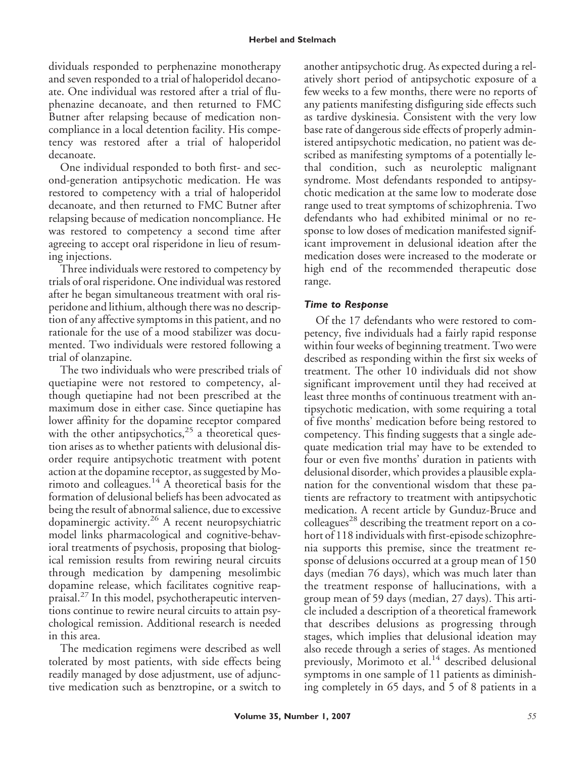dividuals responded to perphenazine monotherapy and seven responded to a trial of haloperidol decanoate. One individual was restored after a trial of fluphenazine decanoate, and then returned to FMC Butner after relapsing because of medication noncompliance in a local detention facility. His competency was restored after a trial of haloperidol decanoate.

One individual responded to both first- and second-generation antipsychotic medication. He was restored to competency with a trial of haloperidol decanoate, and then returned to FMC Butner after relapsing because of medication noncompliance. He was restored to competency a second time after agreeing to accept oral risperidone in lieu of resuming injections.

Three individuals were restored to competency by trials of oral risperidone. One individual was restored after he began simultaneous treatment with oral risperidone and lithium, although there was no description of any affective symptoms in this patient, and no rationale for the use of a mood stabilizer was documented. Two individuals were restored following a trial of olanzapine.

The two individuals who were prescribed trials of quetiapine were not restored to competency, although quetiapine had not been prescribed at the maximum dose in either case. Since quetiapine has lower affinity for the dopamine receptor compared with the other antipsychotics, $25$  a theoretical question arises as to whether patients with delusional disorder require antipsychotic treatment with potent action at the dopamine receptor, as suggested by Morimoto and colleagues.<sup>14</sup> A theoretical basis for the formation of delusional beliefs has been advocated as being the result of abnormal salience, due to excessive dopaminergic activity.<sup>26</sup> A recent neuropsychiatric model links pharmacological and cognitive-behavioral treatments of psychosis, proposing that biological remission results from rewiring neural circuits through medication by dampening mesolimbic dopamine release, which facilitates cognitive reappraisal.<sup>27</sup> In this model, psychotherapeutic interventions continue to rewire neural circuits to attain psychological remission. Additional research is needed in this area.

The medication regimens were described as well tolerated by most patients, with side effects being readily managed by dose adjustment, use of adjunctive medication such as benztropine, or a switch to another antipsychotic drug. As expected during a relatively short period of antipsychotic exposure of a few weeks to a few months, there were no reports of any patients manifesting disfiguring side effects such as tardive dyskinesia. Consistent with the very low base rate of dangerous side effects of properly administered antipsychotic medication, no patient was described as manifesting symptoms of a potentially lethal condition, such as neuroleptic malignant syndrome. Most defendants responded to antipsychotic medication at the same low to moderate dose range used to treat symptoms of schizophrenia. Two defendants who had exhibited minimal or no response to low doses of medication manifested significant improvement in delusional ideation after the medication doses were increased to the moderate or high end of the recommended therapeutic dose range.

## *Time to Response*

Of the 17 defendants who were restored to competency, five individuals had a fairly rapid response within four weeks of beginning treatment. Two were described as responding within the first six weeks of treatment. The other 10 individuals did not show significant improvement until they had received at least three months of continuous treatment with antipsychotic medication, with some requiring a total of five months' medication before being restored to competency. This finding suggests that a single adequate medication trial may have to be extended to four or even five months' duration in patients with delusional disorder, which provides a plausible explanation for the conventional wisdom that these patients are refractory to treatment with antipsychotic medication. A recent article by Gunduz-Bruce and colleagues<sup>28</sup> describing the treatment report on a cohort of 118 individuals with first-episode schizophrenia supports this premise, since the treatment response of delusions occurred at a group mean of 150 days (median 76 days), which was much later than the treatment response of hallucinations, with a group mean of 59 days (median, 27 days). This article included a description of a theoretical framework that describes delusions as progressing through stages, which implies that delusional ideation may also recede through a series of stages. As mentioned previously, Morimoto et al.<sup>14</sup> described delusional symptoms in one sample of 11 patients as diminishing completely in 65 days, and 5 of 8 patients in a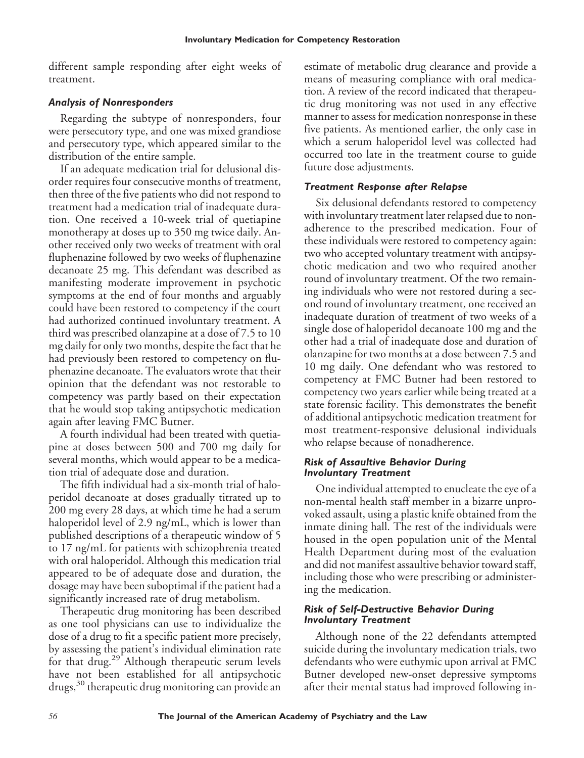different sample responding after eight weeks of treatment.

## *Analysis of Nonresponders*

Regarding the subtype of nonresponders, four were persecutory type, and one was mixed grandiose and persecutory type, which appeared similar to the distribution of the entire sample.

If an adequate medication trial for delusional disorder requires four consecutive months of treatment, then three of the five patients who did not respond to treatment had a medication trial of inadequate duration. One received a 10-week trial of quetiapine monotherapy at doses up to 350 mg twice daily. Another received only two weeks of treatment with oral fluphenazine followed by two weeks of fluphenazine decanoate 25 mg. This defendant was described as manifesting moderate improvement in psychotic symptoms at the end of four months and arguably could have been restored to competency if the court had authorized continued involuntary treatment. A third was prescribed olanzapine at a dose of 7.5 to 10 mg daily for only two months, despite the fact that he had previously been restored to competency on fluphenazine decanoate. The evaluators wrote that their opinion that the defendant was not restorable to competency was partly based on their expectation that he would stop taking antipsychotic medication again after leaving FMC Butner.

A fourth individual had been treated with quetiapine at doses between 500 and 700 mg daily for several months, which would appear to be a medication trial of adequate dose and duration.

The fifth individual had a six-month trial of haloperidol decanoate at doses gradually titrated up to 200 mg every 28 days, at which time he had a serum haloperidol level of 2.9 ng/mL, which is lower than published descriptions of a therapeutic window of 5 to 17 ng/mL for patients with schizophrenia treated with oral haloperidol. Although this medication trial appeared to be of adequate dose and duration, the dosage may have been suboptimal if the patient had a significantly increased rate of drug metabolism.

Therapeutic drug monitoring has been described as one tool physicians can use to individualize the dose of a drug to fit a specific patient more precisely, by assessing the patient's individual elimination rate for that drug.<sup>29</sup> Although therapeutic serum levels have not been established for all antipsychotic drugs,<sup>30</sup> therapeutic drug monitoring can provide an

estimate of metabolic drug clearance and provide a means of measuring compliance with oral medication. A review of the record indicated that therapeutic drug monitoring was not used in any effective manner to assess for medication nonresponse in these five patients. As mentioned earlier, the only case in which a serum haloperidol level was collected had occurred too late in the treatment course to guide future dose adjustments.

### *Treatment Response after Relapse*

Six delusional defendants restored to competency with involuntary treatment later relapsed due to nonadherence to the prescribed medication. Four of these individuals were restored to competency again: two who accepted voluntary treatment with antipsychotic medication and two who required another round of involuntary treatment. Of the two remaining individuals who were not restored during a second round of involuntary treatment, one received an inadequate duration of treatment of two weeks of a single dose of haloperidol decanoate 100 mg and the other had a trial of inadequate dose and duration of olanzapine for two months at a dose between 7.5 and 10 mg daily. One defendant who was restored to competency at FMC Butner had been restored to competency two years earlier while being treated at a state forensic facility. This demonstrates the benefit of additional antipsychotic medication treatment for most treatment-responsive delusional individuals who relapse because of nonadherence.

#### *Risk of Assaultive Behavior During Involuntary Treatment*

One individual attempted to enucleate the eye of a non-mental health staff member in a bizarre unprovoked assault, using a plastic knife obtained from the inmate dining hall. The rest of the individuals were housed in the open population unit of the Mental Health Department during most of the evaluation and did not manifest assaultive behavior toward staff, including those who were prescribing or administering the medication.

#### *Risk of Self-Destructive Behavior During Involuntary Treatment*

Although none of the 22 defendants attempted suicide during the involuntary medication trials, two defendants who were euthymic upon arrival at FMC Butner developed new-onset depressive symptoms after their mental status had improved following in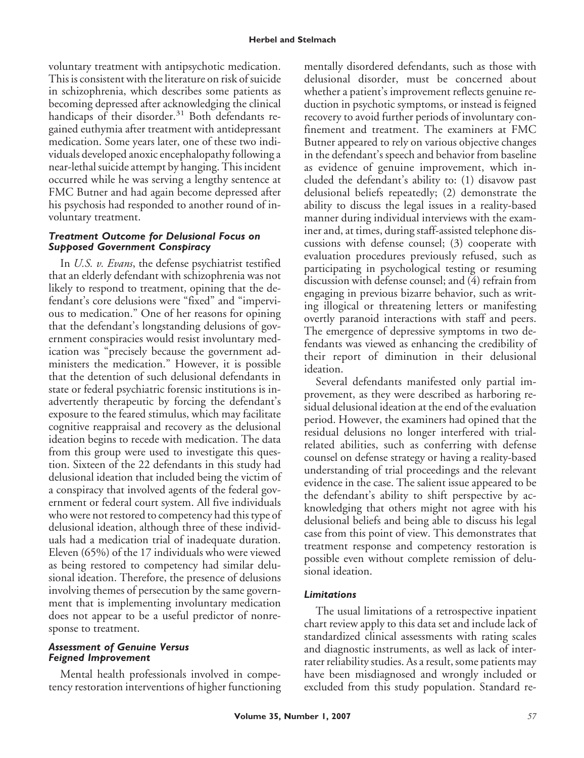voluntary treatment with antipsychotic medication. This is consistent with the literature on risk of suicide in schizophrenia, which describes some patients as becoming depressed after acknowledging the clinical handicaps of their disorder. $31$  Both defendants regained euthymia after treatment with antidepressant medication. Some years later, one of these two individuals developed anoxic encephalopathy following a near-lethal suicide attempt by hanging. This incident occurred while he was serving a lengthy sentence at FMC Butner and had again become depressed after his psychosis had responded to another round of involuntary treatment.

#### *Treatment Outcome for Delusional Focus on Supposed Government Conspiracy*

In *U.S. v. Evans*, the defense psychiatrist testified that an elderly defendant with schizophrenia was not likely to respond to treatment, opining that the defendant's core delusions were "fixed" and "impervious to medication." One of her reasons for opining that the defendant's longstanding delusions of government conspiracies would resist involuntary medication was "precisely because the government administers the medication." However, it is possible that the detention of such delusional defendants in state or federal psychiatric forensic institutions is inadvertently therapeutic by forcing the defendant's exposure to the feared stimulus, which may facilitate cognitive reappraisal and recovery as the delusional ideation begins to recede with medication. The data from this group were used to investigate this question. Sixteen of the 22 defendants in this study had delusional ideation that included being the victim of a conspiracy that involved agents of the federal government or federal court system. All five individuals who were not restored to competency had this type of delusional ideation, although three of these individuals had a medication trial of inadequate duration. Eleven (65%) of the 17 individuals who were viewed as being restored to competency had similar delusional ideation. Therefore, the presence of delusions involving themes of persecution by the same government that is implementing involuntary medication does not appear to be a useful predictor of nonresponse to treatment.

#### *Assessment of Genuine Versus Feigned Improvement*

Mental health professionals involved in competency restoration interventions of higher functioning mentally disordered defendants, such as those with delusional disorder, must be concerned about whether a patient's improvement reflects genuine reduction in psychotic symptoms, or instead is feigned recovery to avoid further periods of involuntary confinement and treatment. The examiners at FMC Butner appeared to rely on various objective changes in the defendant's speech and behavior from baseline as evidence of genuine improvement, which included the defendant's ability to: (1) disavow past delusional beliefs repeatedly; (2) demonstrate the ability to discuss the legal issues in a reality-based manner during individual interviews with the examiner and, at times, during staff-assisted telephone discussions with defense counsel; (3) cooperate with evaluation procedures previously refused, such as participating in psychological testing or resuming discussion with defense counsel; and (4) refrain from engaging in previous bizarre behavior, such as writing illogical or threatening letters or manifesting overtly paranoid interactions with staff and peers. The emergence of depressive symptoms in two defendants was viewed as enhancing the credibility of their report of diminution in their delusional ideation.

Several defendants manifested only partial improvement, as they were described as harboring residual delusional ideation at the end of the evaluation period. However, the examiners had opined that the residual delusions no longer interfered with trialrelated abilities, such as conferring with defense counsel on defense strategy or having a reality-based understanding of trial proceedings and the relevant evidence in the case. The salient issue appeared to be the defendant's ability to shift perspective by acknowledging that others might not agree with his delusional beliefs and being able to discuss his legal case from this point of view. This demonstrates that treatment response and competency restoration is possible even without complete remission of delusional ideation.

### *Limitations*

The usual limitations of a retrospective inpatient chart review apply to this data set and include lack of standardized clinical assessments with rating scales and diagnostic instruments, as well as lack of interrater reliability studies. As a result, some patients may have been misdiagnosed and wrongly included or excluded from this study population. Standard re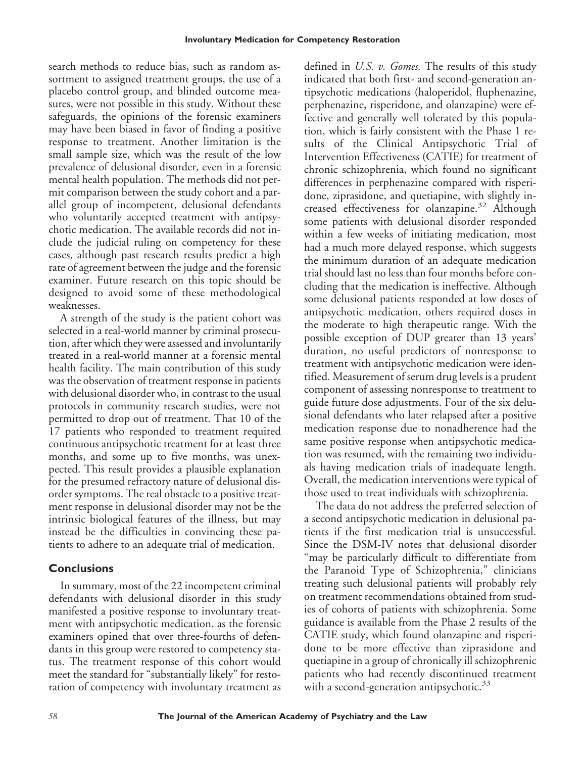search methods to reduce bias, such as random assortment to assigned treatment groups, the use of a placebo control group, and blinded outcome measures, were not possible in this study. Without these safeguards, the opinions of the forensic examiners may have been biased in favor of finding a positive response to treatment. Another limitation is the small sample size, which was the result of the low prevalence of delusional disorder, even in a forensic mental health population. The methods did not permit comparison between the study cohort and a parallel group of incompetent, delusional defendants who voluntarily accepted treatment with antipsychotic medication. The available records did not include the judicial ruling on competency for these cases, although past research results predict a high rate of agreement between the judge and the forensic examiner. Future research on this topic should be designed to avoid some of these methodological weaknesses.

A strength of the study is the patient cohort was selected in a real-world manner by criminal prosecution, after which they were assessed and involuntarily treated in a real-world manner at a forensic mental health facility. The main contribution of this study was the observation of treatment response in patients with delusional disorder who, in contrast to the usual protocols in community research studies, were not permitted to drop out of treatment. That 10 of the 17 patients who responded to treatment required continuous antipsychotic treatment for at least three months, and some up to five months, was unexpected. This result provides a plausible explanation for the presumed refractory nature of delusional disorder symptoms. The real obstacle to a positive treatment response in delusional disorder may not be the intrinsic biological features of the illness, but may instead be the difficulties in convincing these patients to adhere to an adequate trial of medication.

# **Conclusions**

In summary, most of the 22 incompetent criminal defendants with delusional disorder in this study manifested a positive response to involuntary treatment with antipsychotic medication, as the forensic examiners opined that over three-fourths of defendants in this group were restored to competency status. The treatment response of this cohort would meet the standard for "substantially likely" for restoration of competency with involuntary treatment as

defined in *U.S. v. Gomes.* The results of this study indicated that both first- and second-generation antipsychotic medications (haloperidol, fluphenazine, perphenazine, risperidone, and olanzapine) were effective and generally well tolerated by this population, which is fairly consistent with the Phase 1 results of the Clinical Antipsychotic Trial of Intervention Effectiveness (CATIE) for treatment of chronic schizophrenia, which found no significant differences in perphenazine compared with risperidone, ziprasidone, and quetiapine, with slightly increased effectiveness for olanzapine.<sup>32</sup> Although some patients with delusional disorder responded within a few weeks of initiating medication, most had a much more delayed response, which suggests the minimum duration of an adequate medication trial should last no less than four months before concluding that the medication is ineffective. Although some delusional patients responded at low doses of antipsychotic medication, others required doses in the moderate to high therapeutic range. With the possible exception of DUP greater than 13 years' duration, no useful predictors of nonresponse to treatment with antipsychotic medication were identified. Measurement of serum drug levels is a prudent component of assessing nonresponse to treatment to guide future dose adjustments. Four of the six delusional defendants who later relapsed after a positive medication response due to nonadherence had the same positive response when antipsychotic medication was resumed, with the remaining two individuals having medication trials of inadequate length. Overall, the medication interventions were typical of those used to treat individuals with schizophrenia.

The data do not address the preferred selection of a second antipsychotic medication in delusional patients if the first medication trial is unsuccessful. Since the DSM-IV notes that delusional disorder "may be particularly difficult to differentiate from the Paranoid Type of Schizophrenia," clinicians treating such delusional patients will probably rely on treatment recommendations obtained from studies of cohorts of patients with schizophrenia. Some guidance is available from the Phase 2 results of the CATIE study, which found olanzapine and risperidone to be more effective than ziprasidone and quetiapine in a group of chronically ill schizophrenic patients who had recently discontinued treatment with a second-generation antipsychotic.<sup>33</sup>